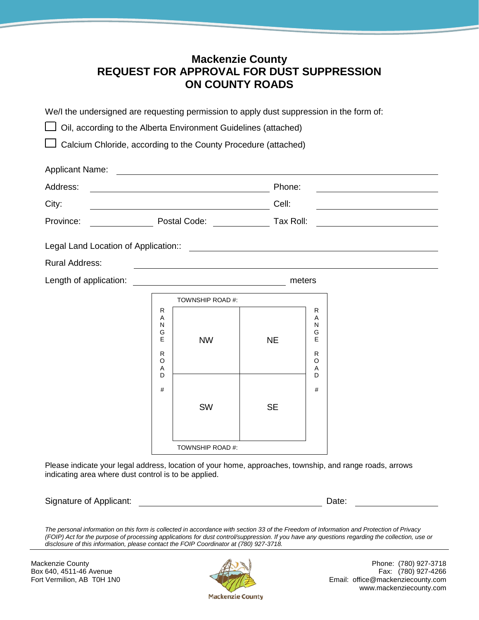# **Mackenzie County REQUEST FOR APPROVAL FOR DUST SUPPRESSION ON COUNTY ROADS**

We/I the undersigned are requesting permission to apply dust suppression in the form of: **□ Oil, according to the Alberta Environment Guidelines (attached)**  Calcium Chloride, according to the County Procedure (attached) Applicant Name: Address: Phone: City: City: Cell: City: Cell: Cell: Cell: Cell: Cell: Cell: Cell: Cell: Cell: Cell: Cell: Cell: Cell: Cell: Cell: Cell: Cell: Cell: Cell: Cell: Cell: Cell: Cell: Cell: Cell: Cell: Cell: Cell: Cell: Cell: Cell: Cell: Cell: Province: Postal Code: Tax Roll: Legal Land Location of Application:: Rural Address: Length of application: meters TOWNSHIP ROAD #: R A N G E R O A D # NW NE R A N G E R O A D # SW SE TOWNSHIP ROAD #: Please indicate your legal address, location of your home, approaches, township, and range roads, arrows indicating area where dust control is to be applied.

*The personal information on this form is collected in accordance with section 33 of the Freedom of Information and Protection of Privacy (FOIP) Act for the purpose of processing applications for dust control/suppression. If you have any questions regarding the collection, use or disclosure of this information, please contact the FOIP Coordinator at (780) 927-3718.* 

Signature of Applicant: **Date:** Date: **Date:** Date: **Date: Date: Date: Date: Date: Date: Date: Date: Date: Date: Date: Date: Date: Date: Date: Date: Date: Date: Date: Date: Date: D** 



Mackenzie County **Phone:** (780) 927-3718 Box 640, 4511-46 Avenue Fax: (780) 927-4266<br>Fort Vermilion, AB T0H 1N0 Fort Principle and The Fax: (780) 927-4266 Email: office@mackenziecounty.com www.mackenziecounty.com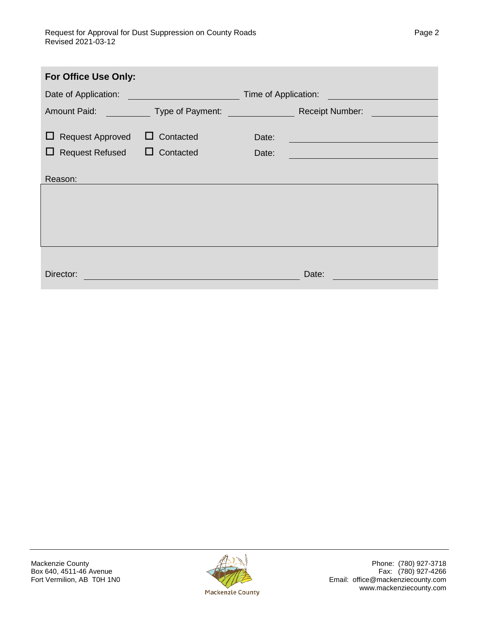| For Office Use Only:         |                  |       |                                                                                                                       |  |
|------------------------------|------------------|-------|-----------------------------------------------------------------------------------------------------------------------|--|
| Date of Application:         |                  |       | Time of Application:                                                                                                  |  |
| <b>Amount Paid:</b>          | Type of Payment: |       | <b>Receipt Number:</b>                                                                                                |  |
| <b>Request Approved</b><br>ப | $\Box$ Contacted | Date: |                                                                                                                       |  |
| <b>Request Refused</b><br>⊔  | $\Box$ Contacted | Date: | <u> 1989 - Johann John Stone, markin film yn y brening yn y brening yn y brening yn y brening yn y brening yn y b</u> |  |
| Reason:                      |                  |       |                                                                                                                       |  |
|                              |                  |       |                                                                                                                       |  |
|                              |                  |       |                                                                                                                       |  |
|                              |                  |       |                                                                                                                       |  |
|                              |                  |       |                                                                                                                       |  |
| Director:                    |                  |       | Date:                                                                                                                 |  |

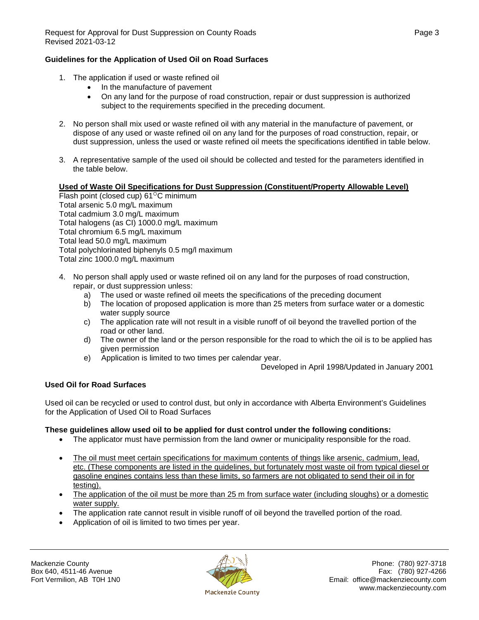#### **Guidelines for the Application of Used Oil on Road Surfaces**

- 1. The application if used or waste refined oil
	- In the manufacture of pavement
	- On any land for the purpose of road construction, repair or dust suppression is authorized subject to the requirements specified in the preceding document.
- 2. No person shall mix used or waste refined oil with any material in the manufacture of pavement, or dispose of any used or waste refined oil on any land for the purposes of road construction, repair, or dust suppression, unless the used or waste refined oil meets the specifications identified in table below.
- 3. A representative sample of the used oil should be collected and tested for the parameters identified in the table below.

#### **Used of Waste Oil Specifications for Dust Suppression (Constituent/Property Allowable Level)**

Flash point (closed cup)  $61^{\circ}$ C minimum Total arsenic 5.0 mg/L maximum Total cadmium 3.0 mg/L maximum Total halogens (as CI) 1000.0 mg/L maximum Total chromium 6.5 mg/L maximum Total lead 50.0 mg/L maximum Total polychlorinated biphenyls 0.5 mg/l maximum Total zinc 1000.0 mg/L maximum

- 4. No person shall apply used or waste refined oil on any land for the purposes of road construction, repair, or dust suppression unless:
	- a) The used or waste refined oil meets the specifications of the preceding document
	- b) The location of proposed application is more than 25 meters from surface water or a domestic water supply source
	- c) The application rate will not result in a visible runoff of oil beyond the travelled portion of the road or other land.
	- d) The owner of the land or the person responsible for the road to which the oil is to be applied has given permission
	- e) Application is limited to two times per calendar year.

Developed in April 1998/Updated in January 2001

### **Used Oil for Road Surfaces**

Used oil can be recycled or used to control dust, but only in accordance with Alberta Environment's Guidelines for the Application of Used Oil to Road Surfaces

#### **These guidelines allow used oil to be applied for dust control under the following conditions:**

- The applicator must have permission from the land owner or municipality responsible for the road.
- The oil must meet certain specifications for maximum contents of things like arsenic, cadmium, lead, etc. (These components are listed in the guidelines, but fortunately most waste oil from typical diesel or gasoline engines contains less than these limits, so farmers are not obligated to send their oil in for testing).
- The application of the oil must be more than 25 m from surface water (including sloughs) or a domestic water supply.
- The application rate cannot result in visible runoff of oil beyond the travelled portion of the road.
- Application of oil is limited to two times per year.

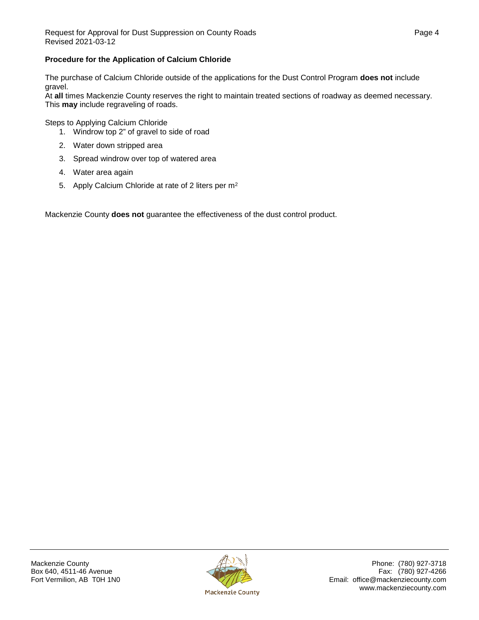## **Procedure for the Application of Calcium Chloride**

The purchase of Calcium Chloride outside of the applications for the Dust Control Program **does not** include gravel.

At **all** times Mackenzie County reserves the right to maintain treated sections of roadway as deemed necessary. This **may** include regraveling of roads.

Steps to Applying Calcium Chloride

- 1. Windrow top 2" of gravel to side of road
- 2. Water down stripped area
- 3. Spread windrow over top of watered area
- 4. Water area again
- 5. Apply Calcium Chloride at rate of 2 liters per m<sup>2</sup>

Mackenzie County **does not** guarantee the effectiveness of the dust control product.